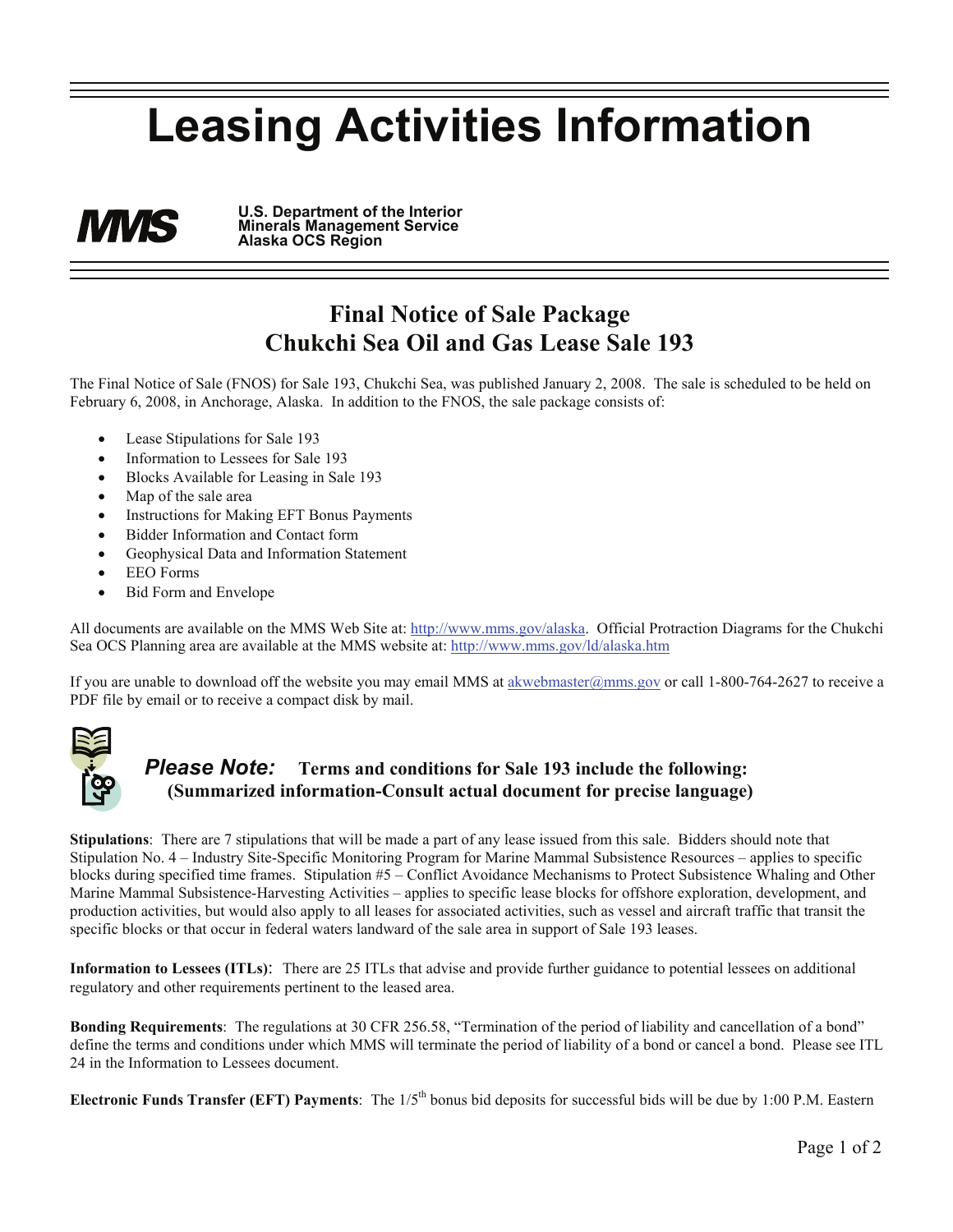## **Leasing Activities Information**

**U.S. Department of the Interior MINIS Minerals Management Service Alaska OCS Region** 

## **Final Notice of Sale Package Chukchi Sea Oil and Gas Lease Sale 193**

The Final Notice of Sale (FNOS) for Sale 193, Chukchi Sea, was published January 2, 2008. The sale is scheduled to be held on February 6, 2008, in Anchorage, Alaska. In addition to the FNOS, the sale package consists of:

- Lease Stipulations for Sale 193
- Information to Lessees for Sale 193
- Blocks Available for Leasing in Sale 193
- Map of the sale area
- Instructions for Making EFT Bonus Payments
- Bidder Information and Contact form
- Geophysical Data and Information Statement
- EEO Forms
- Bid Form and Envelope

All documents are available on the MMS Web Site at: http://www.mms.gov/alaska. Official Protraction Diagrams for the Chukchi Sea OCS Planning area are available at the MMS website at: http://www.mms.gov/ld/alaska.htm

If you are unable to download off the website you may email MMS at akwebmaster@mms.gov or call 1-800-764-2627 to receive a PDF file by email or to receive a compact disk by mail.



## *Please Note:* **Terms and conditions for Sale 193 include the following: (Summarized information-Consult actual document for precise language)**

**Stipulations**: There are 7 stipulations that will be made a part of any lease issued from this sale. Bidders should note that Stipulation No. 4 – Industry Site-Specific Monitoring Program for Marine Mammal Subsistence Resources – applies to specific blocks during specified time frames. Stipulation #5 – Conflict Avoidance Mechanisms to Protect Subsistence Whaling and Other Marine Mammal Subsistence-Harvesting Activities – applies to specific lease blocks for offshore exploration, development, and production activities, but would also apply to all leases for associated activities, such as vessel and aircraft traffic that transit the specific blocks or that occur in federal waters landward of the sale area in support of Sale 193 leases.

**Information to Lessees (ITLs)**: There are 25 ITLs that advise and provide further guidance to potential lessees on additional regulatory and other requirements pertinent to the leased area.

**Bonding Requirements**: The regulations at 30 CFR 256.58, "Termination of the period of liability and cancellation of a bond" define the terms and conditions under which MMS will terminate the period of liability of a bond or cancel a bond. Please see ITL 24 in the Information to Lessees document.

**Electronic Funds Transfer (EFT) Payments**: The 1/5th bonus bid deposits for successful bids will be due by 1:00 P.M. Eastern